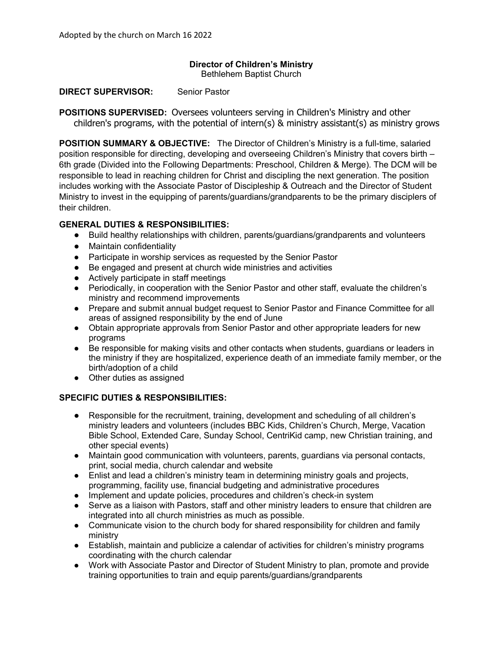#### **Director of Children's Ministry**  Bethlehem Baptist Church

**DIRECT SUPERVISOR:** Senior Pastor

**POSITIONS SUPERVISED:** Oversees volunteers serving in Children's Ministry and other children's programs, with the potential of intern(s) & ministry assistant(s) as ministry grows

**POSITION SUMMARY & OBJECTIVE:** The Director of Children's Ministry is a full-time, salaried position responsible for directing, developing and overseeing Children's Ministry that covers birth – 6th grade (Divided into the Following Departments: Preschool, Children & Merge). The DCM will be responsible to lead in reaching children for Christ and discipling the next generation. The position includes working with the Associate Pastor of Discipleship & Outreach and the Director of Student Ministry to invest in the equipping of parents/guardians/grandparents to be the primary disciplers of their children.

# **GENERAL DUTIES & RESPONSIBILITIES:**

- Build healthy relationships with children, parents/guardians/grandparents and volunteers
- Maintain confidentiality
- Participate in worship services as requested by the Senior Pastor
- Be engaged and present at church wide ministries and activities
- Actively participate in staff meetings
- Periodically, in cooperation with the Senior Pastor and other staff, evaluate the children's ministry and recommend improvements
- Prepare and submit annual budget request to Senior Pastor and Finance Committee for all areas of assigned responsibility by the end of June
- Obtain appropriate approvals from Senior Pastor and other appropriate leaders for new programs
- Be responsible for making visits and other contacts when students, guardians or leaders in the ministry if they are hospitalized, experience death of an immediate family member, or the birth/adoption of a child
- Other duties as assigned

## **SPECIFIC DUTIES & RESPONSIBILITIES:**

- Responsible for the recruitment, training, development and scheduling of all children's ministry leaders and volunteers (includes BBC Kids, Children's Church, Merge, Vacation Bible School, Extended Care, Sunday School, CentriKid camp, new Christian training, and other special events)
- Maintain good communication with volunteers, parents, guardians via personal contacts, print, social media, church calendar and website
- Enlist and lead a children's ministry team in determining ministry goals and projects, programming, facility use, financial budgeting and administrative procedures
- Implement and update policies, procedures and children's check-in system
- Serve as a liaison with Pastors, staff and other ministry leaders to ensure that children are integrated into all church ministries as much as possible.
- Communicate vision to the church body for shared responsibility for children and family ministry
- Establish, maintain and publicize a calendar of activities for children's ministry programs coordinating with the church calendar
- Work with Associate Pastor and Director of Student Ministry to plan, promote and provide training opportunities to train and equip parents/guardians/grandparents